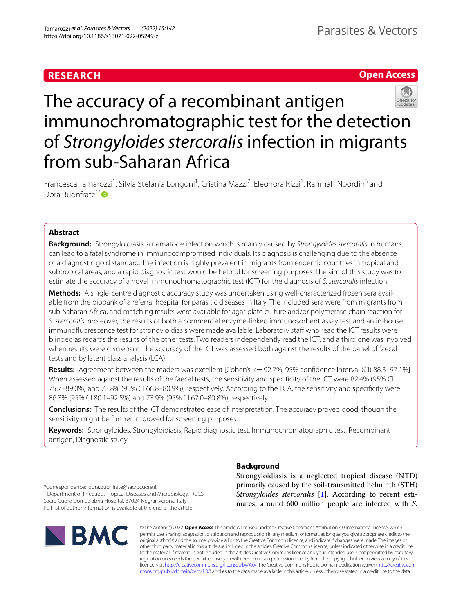# **RESEARCH**

# **Open Access**



# The accuracy of a recombinant antigen immunochromatographic test for the detection of *Strongyloides stercoralis* infection in migrants from sub-Saharan Africa

Francesca Tamarozzi<sup>1</sup>, Silvia Stefania Longoni<sup>1</sup>, Cristina Mazzi<sup>2</sup>, Eleonora Rizzi<sup>1</sup>, Rahmah Noordin<sup>3</sup> and Dora Buonfrate<sup>1[\\*](http://orcid.org/0000-0003-0108-6822)</sup>

# **Abstract**

**Background:** Strongyloidiasis, a nematode infection which is mainly caused by *Strongyloides stercoralis* in humans, can lead to a fatal syndrome in immunocompromised individuals. Its diagnosis is challenging due to the absence of a diagnostic gold standard. The infection is highly prevalent in migrants from endemic countries in tropical and subtropical areas, and a rapid diagnostic test would be helpful for screening purposes. The aim of this study was to estimate the accuracy of a novel immunochromatographic test (ICT) for the diagnosis of *S. stercoralis* infection.

**Methods:** A single-centre diagnostic accuracy study was undertaken using well-characterized frozen sera available from the biobank of a referral hospital for parasitic diseases in Italy. The included sera were from migrants from sub-Saharan Africa, and matching results were available for agar plate culture and/or polymerase chain reaction for *S. stercoralis*; moreover, the results of both a commercial enzyme-linked immunosorbent assay test and an in-house immunofuorescence test for strongyloidiasis were made available. Laboratory staf who read the ICT results were blinded as regards the results of the other tests. Two readers independently read the ICT, and a third one was involved when results were discrepant. The accuracy of the ICT was assessed both against the results of the panel of faecal tests and by latent class analysis (LCA).

**Results:** Agreement between the readers was excellent [Cohen's κ=92.7%, 95% confdence interval (CI) 88.3–97.1%]. When assessed against the results of the faecal tests, the sensitivity and specifcity of the ICT were 82.4% (95% CI 75.7–89.0%) and 73.8% (95% CI 66.8–80.9%), respectively. According to the LCA, the sensitivity and specifcity were 86.3% (95% CI 80.1–92.5%) and 73.9% (95% CI 67.0–80.8%), respectively.

**Conclusions:** The results of the ICT demonstrated ease of interpretation. The accuracy proved good, though the sensitivity might be further improved for screening purposes.

**Keywords:** Strongyloides, Strongyloidiasis, Rapid diagnostic test, Immunochromatographic test, Recombinant antigen, Diagnostic study

**Background**

Strongyloidiasis is a neglected tropical disease (NTD) primarily caused by the soil-transmitted helminth (STH) *Strongyloides stercoralis* [\[1](#page-5-0)]. According to recent estimates, around 600 million people are infected with *S.* 

\*Correspondence: dora.buonfrate@sacrocuore.it <sup>1</sup> Department of Infectious Tropical Diseases and Microbiology, IRCCS

Sacro Cuore Don Calabria Hospital, 37024 Negrar, Verona, Italy Full list of author information is available at the end of the article



© The Author(s) 2022. **Open Access** This article is licensed under a Creative Commons Attribution 4.0 International License, which permits use, sharing, adaptation, distribution and reproduction in any medium or format, as long as you give appropriate credit to the original author(s) and the source, provide a link to the Creative Commons licence, and indicate if changes were made. The images or other third party material in this article are included in the article's Creative Commons licence, unless indicated otherwise in a credit line to the material. If material is not included in the article's Creative Commons licence and your intended use is not permitted by statutory regulation or exceeds the permitted use, you will need to obtain permission directly from the copyright holder. To view a copy of this licence, visit [http://creativecommons.org/licenses/by/4.0/.](http://creativecommons.org/licenses/by/4.0/) The Creative Commons Public Domain Dedication waiver ([http://creativecom](http://creativecommons.org/publicdomain/zero/1.0/)[mons.org/publicdomain/zero/1.0/\)](http://creativecommons.org/publicdomain/zero/1.0/) applies to the data made available in this article, unless otherwise stated in a credit line to the data.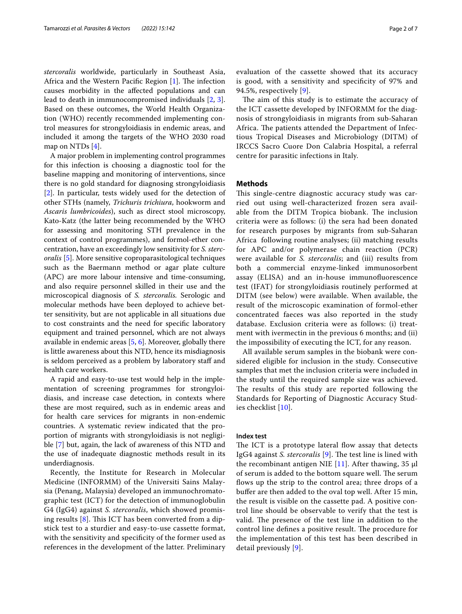*stercoralis* worldwide, particularly in Southeast Asia, Africa and the Western Pacific Region  $[1]$  $[1]$ . The infection causes morbidity in the afected populations and can lead to death in immunocompromised individuals [\[2,](#page-5-1) [3](#page-5-2)]. Based on these outcomes, the World Health Organization (WHO) recently recommended implementing control measures for strongyloidiasis in endemic areas, and included it among the targets of the WHO 2030 road map on NTDs [[4\]](#page-5-3).

A major problem in implementing control programmes for this infection is choosing a diagnostic tool for the baseline mapping and monitoring of interventions, since there is no gold standard for diagnosing strongyloidiasis [[2\]](#page-5-1). In particular, tests widely used for the detection of other STHs (namely, *Trichuris trichiura*, hookworm and *Ascaris lumbricoides*), such as direct stool microscopy, Kato-Katz (the latter being recommended by the WHO for assessing and monitoring STH prevalence in the context of control programmes), and formol-ether concentration, have an exceedingly low sensitivity for *S. stercoralis* [[5\]](#page-5-4). More sensitive coproparasitological techniques such as the Baermann method or agar plate culture (APC) are more labour intensive and time-consuming, and also require personnel skilled in their use and the microscopical diagnosis of *S. stercoralis.* Serologic and molecular methods have been deployed to achieve better sensitivity, but are not applicable in all situations due to cost constraints and the need for specifc laboratory equipment and trained personnel, which are not always available in endemic areas [[5,](#page-5-4) [6](#page-5-5)]. Moreover, globally there is little awareness about this NTD, hence its misdiagnosis is seldom perceived as a problem by laboratory staff and health care workers.

A rapid and easy-to-use test would help in the implementation of screening programmes for strongyloidiasis, and increase case detection, in contexts where these are most required, such as in endemic areas and for health care services for migrants in non-endemic countries. A systematic review indicated that the proportion of migrants with strongyloidiasis is not negligible [[7\]](#page-5-6) but, again, the lack of awareness of this NTD and the use of inadequate diagnostic methods result in its underdiagnosis.

Recently, the Institute for Research in Molecular Medicine (INFORMM) of the Universiti Sains Malaysia (Penang, Malaysia) developed an immunochromatographic test (ICT) for the detection of immunoglobulin G4 (IgG4) against *S. stercoralis*, which showed promising results  $[8]$  $[8]$ . This ICT has been converted from a dipstick test to a sturdier and easy-to-use cassette format, with the sensitivity and specificity of the former used as references in the development of the latter. Preliminary evaluation of the cassette showed that its accuracy is good, with a sensitivity and specifcity of 97% and 94.5%, respectively [[9\]](#page-5-8).

The aim of this study is to estimate the accuracy of the ICT cassette developed by INFORMM for the diagnosis of strongyloidiasis in migrants from sub-Saharan Africa. The patients attended the Department of Infectious Tropical Diseases and Microbiology (DITM) of IRCCS Sacro Cuore Don Calabria Hospital, a referral centre for parasitic infections in Italy.

## **Methods**

This single-centre diagnostic accuracy study was carried out using well-characterized frozen sera available from the DITM Tropica biobank. The inclusion criteria were as follows: (i) the sera had been donated for research purposes by migrants from sub-Saharan Africa following routine analyses; (ii) matching results for APC and/or polymerase chain reaction (PCR) were available for *S. stercoralis*; and (iii) results from both a commercial enzyme-linked immunosorbent assay (ELISA) and an in-house immunofuorescence test (IFAT) for strongyloidiasis routinely performed at DITM (see below) were available. When available, the result of the microscopic examination of formol-ether concentrated faeces was also reported in the study database. Exclusion criteria were as follows: (i) treatment with ivermectin in the previous 6 months; and (ii) the impossibility of executing the ICT, for any reason.

All available serum samples in the biobank were considered eligible for inclusion in the study. Consecutive samples that met the inclusion criteria were included in the study until the required sample size was achieved. The results of this study are reported following the Standards for Reporting of Diagnostic Accuracy Studies checklist [[10\]](#page-5-9).

# **Index test**

The ICT is a prototype lateral flow assay that detects IgG4 against *S. stercoralis* [[9](#page-5-8)]. The test line is lined with the recombinant antigen NIE  $[11]$  $[11]$ . After thawing, 35 µl of serum is added to the bottom square well. The serum flows up the strip to the control area; three drops of a bufer are then added to the oval top well. After 15 min, the result is visible on the cassette pad. A positive control line should be observable to verify that the test is valid. The presence of the test line in addition to the control line defines a positive result. The procedure for the implementation of this test has been described in detail previously [[9](#page-5-8)].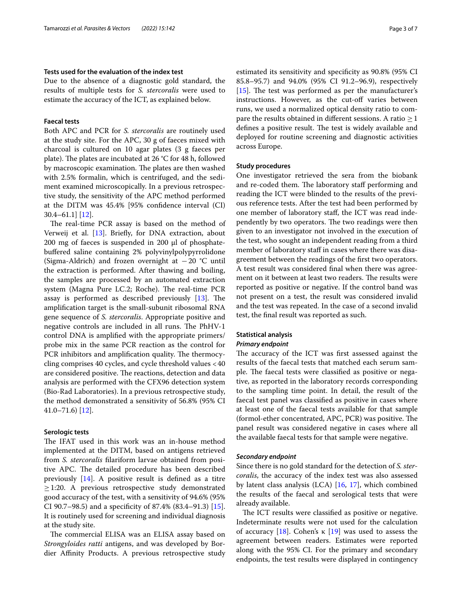### **Tests used for the evaluation of the index test**

Due to the absence of a diagnostic gold standard, the results of multiple tests for *S. stercoralis* were used to estimate the accuracy of the ICT, as explained below.

## **Faecal tests**

Both APC and PCR for *S. stercoralis* are routinely used at the study site. For the APC, 30 g of faeces mixed with charcoal is cultured on 10 agar plates (3 g faeces per plate). The plates are incubated at 26  $°C$  for 48 h, followed by macroscopic examination. The plates are then washed with 2.5% formalin, which is centrifuged, and the sediment examined microscopically. In a previous retrospective study, the sensitivity of the APC method performed at the DITM was 45.4% [95% confdence interval (CI) 30.4–61.1] [\[12](#page-5-11)].

The real-time PCR assay is based on the method of Verweij et al. [\[13](#page-5-12)]. Briefy, for DNA extraction, about  $200 \text{ mg}$  of faeces is suspended in  $200 \text{ µl}$  of phosphatebufered saline containing 2% polyvinylpolypyrrolidone (Sigma-Aldrich) and frozen overnight at −20 °C until the extraction is performed. After thawing and boiling, the samples are processed by an automated extraction system (Magna Pure LC.2; Roche). The real-time PCR assay is performed as described previously  $[13]$  $[13]$ . The amplifcation target is the small-subunit ribosomal RNA gene sequence of *S. stercoralis*. Appropriate positive and negative controls are included in all runs. The PhHV-1 control DNA is amplifed with the appropriate primers/ probe mix in the same PCR reaction as the control for PCR inhibitors and amplification quality. The thermocycling comprises 40 cycles, and cycle threshold values <40 are considered positive. The reactions, detection and data analysis are performed with the CFX96 detection system (Bio-Rad Laboratories). In a previous retrospective study, the method demonstrated a sensitivity of 56.8% (95% CI 41.0–71.6) [\[12](#page-5-11)].

#### **Serologic tests**

The IFAT used in this work was an in-house method implemented at the DITM, based on antigens retrieved from *S. stercoralis* flariform larvae obtained from positive APC. The detailed procedure has been described previously  $[14]$  $[14]$ . A positive result is defined as a titre  $\geq$ 1:20. A previous retrospective study demonstrated good accuracy of the test, with a sensitivity of 94.6% (95% CI 90.7–98.5) and a specifcity of 87.4% (83.4–91.3) [\[15](#page-5-14)]. It is routinely used for screening and individual diagnosis at the study site.

The commercial ELISA was an ELISA assay based on *Strongyloides ratti* antigens, and was developed by Bordier Afnity Products. A previous retrospective study estimated its sensitivity and specifcity as 90.8% (95% CI 85.8–95.7) and 94.0% (95% CI 91.2–96.9), respectively [[15\]](#page-5-14). The test was performed as per the manufacturer's instructions. However, as the cut-off varies between runs, we used a normalized optical density ratio to compare the results obtained in different sessions. A ratio  $\geq 1$ defines a positive result. The test is widely available and deployed for routine screening and diagnostic activities across Europe.

#### **Study procedures**

One investigator retrieved the sera from the biobank and re-coded them. The laboratory staff performing and reading the ICT were blinded to the results of the previous reference tests. After the test had been performed by one member of laboratory staf, the ICT was read independently by two operators. The two readings were then given to an investigator not involved in the execution of the test, who sought an independent reading from a third member of laboratory staff in cases where there was disagreement between the readings of the frst two operators. A test result was considered fnal when there was agreement on it between at least two readers. The results were reported as positive or negative. If the control band was not present on a test, the result was considered invalid and the test was repeated. In the case of a second invalid test, the fnal result was reported as such.

# **Statistical analysis**

# *Primary endpoint*

The accuracy of the ICT was first assessed against the results of the faecal tests that matched each serum sample. The faecal tests were classified as positive or negative, as reported in the laboratory records corresponding to the sampling time point. In detail, the result of the faecal test panel was classifed as positive in cases where at least one of the faecal tests available for that sample (formol-ether concentrated, APC, PCR) was positive. The panel result was considered negative in cases where all the available faecal tests for that sample were negative.

#### *Secondary endpoint*

Since there is no gold standard for the detection of *S. stercoralis*, the accuracy of the index test was also assessed by latent class analysis (LCA) [\[16,](#page-5-15) [17\]](#page-5-16), which combined the results of the faecal and serological tests that were already available.

The ICT results were classified as positive or negative. Indeterminate results were not used for the calculation of accuracy [[18](#page-5-17)]. Cohen's κ [\[19](#page-5-18)] was used to assess the agreement between readers. Estimates were reported along with the 95% CI. For the primary and secondary endpoints, the test results were displayed in contingency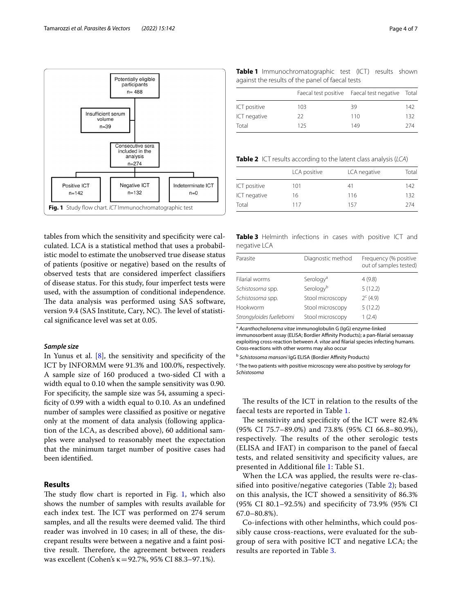Insufficient serum volume  $n=39$ 

Positive ICT

 $n = 142$ 

Potentially eligible participants  $n = 488$ 

Consecutive sera included in the analysis  $n=274$ 

Negative ICT

 $n = 132$ 

Indeterminate ICT

 $n=0$ 



<span id="page-3-0"></span>**Fig. 1** Study fow chart. *ICT* Immunochromatographic test

#### *Sample size*

In Yunus et al.  $[8]$ , the sensitivity and specificity of the ICT by INFORMM were 91.3% and 100.0%, respectively. A sample size of 160 produced a two-sided CI with a width equal to 0.10 when the sample sensitivity was 0.90. For specifcity, the sample size was 54, assuming a specificity of 0.99 with a width equal to 0.10. As an undefined number of samples were classifed as positive or negative only at the moment of data analysis (following application of the LCA, as described above), 60 additional samples were analysed to reasonably meet the expectation that the minimum target number of positive cases had been identifed.

#### **Results**

The study flow chart is reported in Fig. [1,](#page-3-0) which also shows the number of samples with results available for each index test. The ICT was performed on 274 serum samples, and all the results were deemed valid. The third reader was involved in 10 cases; in all of these, the discrepant results were between a negative and a faint positive result. Therefore, the agreement between readers was excellent (Cohen's κ=92.7%, 95% CI 88.3–97.1%).

<span id="page-3-1"></span>**Table 1** Immunochromatographic test (ICT) results shown against the results of the panel of faecal tests

|              |     | Faecal test positive Faecal test negative Total |     |
|--------------|-----|-------------------------------------------------|-----|
| ICT positive | 103 | 39                                              | 142 |
| ICT negative | 22  | 110                                             | 132 |
| Total        | 125 | 149                                             | 274 |

<span id="page-3-2"></span>**Table 2** ICT results according to the latent class analysis (*LCA*)

|              | LCA positive | LCA negative | Total |
|--------------|--------------|--------------|-------|
| ICT positive | 101          | 41           | 142   |
| ICT negative | 16           | 116          | 132   |
| Total        | 117          | 157          | 274   |

<span id="page-3-3"></span>

|              | Table 3 Helminth infections in cases with positive ICT and |  |  |  |
|--------------|------------------------------------------------------------|--|--|--|
| negative LCA |                                                            |  |  |  |

| Parasite                  | Diagnostic method     | Frequency (% positive<br>out of samples tested) |
|---------------------------|-----------------------|-------------------------------------------------|
| Filarial worms            | Serology <sup>a</sup> | 4(9.8)                                          |
| Schistosoma spp.          | Serologyb             | 5(12.2)                                         |
| Schistosoma spp.          | Stool microscopy      | $2^{c}$ (4.9)                                   |
| Hookworm                  | Stool microscopy      | 5(12.2)                                         |
| Strongyloides fuelleborni | Stool microscopy      | 1(2.4)                                          |

<sup>a</sup> *Acanthocheilonema vitae* immunoglobulin G (IgG) enzyme-linked immunosorbent assay (ELISA; Bordier Affinity Products); a pan-filarial seroassay exploiting cross-reaction between *A. vitae* and flarial species infecting humans. Cross-reactions with other worms may also occur

<sup>c</sup> The two patients with positive microscopy were also positive by serology for *Schistosoma*

The results of the ICT in relation to the results of the faecal tests are reported in Table [1](#page-3-1).

The sensitivity and specificity of the ICT were 82.4% (95% CI 75.7–89.0%) and 73.8% (95% CI 66.8–80.9%), respectively. The results of the other serologic tests (ELISA and IFAT) in comparison to the panel of faecal tests, and related sensitivity and specifcity values, are presented in Additional fle [1](#page-5-19): Table S1.

When the LCA was applied, the results were re-classifed into positive/negative categories (Table [2\)](#page-3-2); based on this analysis, the ICT showed a sensitivity of 86.3% (95% CI 80.1–92.5%) and specifcity of 73.9% (95% CI 67.0–80.8%).

Co-infections with other helminths, which could possibly cause cross-reactions, were evaluated for the subgroup of sera with positive ICT and negative LCA; the results are reported in Table [3](#page-3-3).

<sup>&</sup>lt;sup>b</sup> Schistosoma mansoni IgG ELISA (Bordier Affinity Products)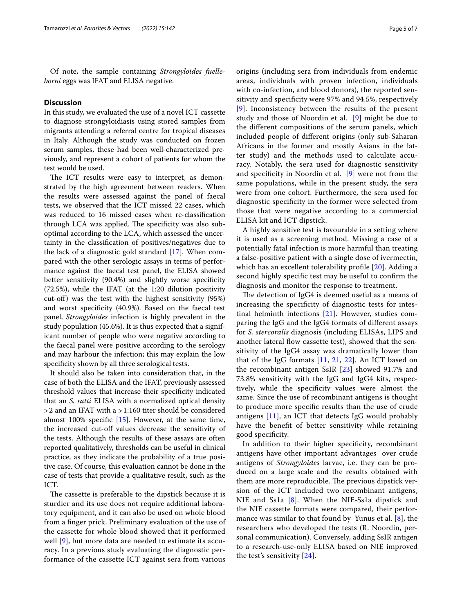Of note, the sample containing *Strongyloides fuelleborni* eggs was IFAT and ELISA negative.

# **Discussion**

In this study, we evaluated the use of a novel ICT cassette to diagnose strongyloidiasis using stored samples from migrants attending a referral centre for tropical diseases in Italy. Although the study was conducted on frozen serum samples, these had been well-characterized previously, and represent a cohort of patients for whom the test would be used.

The ICT results were easy to interpret, as demonstrated by the high agreement between readers. When the results were assessed against the panel of faecal tests, we observed that the ICT missed 22 cases, which was reduced to 16 missed cases when re-classifcation through LCA was applied. The specificity was also suboptimal according to the LCA, which assessed the uncertainty in the classifcation of positives/negatives due to the lack of a diagnostic gold standard [[17\]](#page-5-16). When compared with the other serologic assays in terms of performance against the faecal test panel, the ELISA showed better sensitivity (90.4%) and slightly worse specifcity (72.5%), while the IFAT (at the 1:20 dilution positivity cut-of) was the test with the highest sensitivity (95%) and worst specifcity (40.9%). Based on the faecal test panel, *Strongyloides* infection is highly prevalent in the study population (45.6%). It is thus expected that a significant number of people who were negative according to the faecal panel were positive according to the serology and may harbour the infection; this may explain the low specifcity shown by all three serological tests.

It should also be taken into consideration that, in the case of both the ELISA and the IFAT, previously assessed threshold values that increase their specifcity indicated that an *S. ratti* ELISA with a normalized optical density >2 and an IFAT with a >1:160 titer should be considered almost 100% specific  $[15]$  $[15]$ . However, at the same time, the increased cut-of values decrease the sensitivity of the tests. Although the results of these assays are often reported qualitatively, thresholds can be useful in clinical practice, as they indicate the probability of a true positive case. Of course, this evaluation cannot be done in the case of tests that provide a qualitative result, such as the ICT.

The cassette is preferable to the dipstick because it is sturdier and its use does not require additional laboratory equipment, and it can also be used on whole blood from a fnger prick. Preliminary evaluation of the use of the cassette for whole blood showed that it performed well [[9\]](#page-5-8), but more data are needed to estimate its accuracy. In a previous study evaluating the diagnostic performance of the cassette ICT against sera from various origins (including sera from individuals from endemic areas, individuals with proven infection, individuals with co-infection, and blood donors), the reported sensitivity and specifcity were 97% and 94.5%, respectively [[9](#page-5-8)]. Inconsistency between the results of the present study and those of Noordin et al. [[9](#page-5-8)] might be due to the diferent compositions of the serum panels, which included people of diferent origins (only sub-Saharan Africans in the former and mostly Asians in the latter study) and the methods used to calculate accuracy. Notably, the sera used for diagnostic sensitivity and specifcity in Noordin et al. [[9\]](#page-5-8) were not from the same populations, while in the present study, the sera were from one cohort. Furthermore, the sera used for diagnostic specifcity in the former were selected from those that were negative according to a commercial ELISA kit and ICT dipstick.

A highly sensitive test is favourable in a setting where it is used as a screening method. Missing a case of a potentially fatal infection is more harmful than treating a false-positive patient with a single dose of ivermectin, which has an excellent tolerability profile [[20\]](#page-5-20). Adding a second highly specifc test may be useful to confrm the diagnosis and monitor the response to treatment.

The detection of IgG4 is deemed useful as a means of increasing the specifcity of diagnostic tests for intestinal helminth infections [\[21\]](#page-6-0). However, studies comparing the IgG and the IgG4 formats of diferent assays for *S. stercoralis* diagnosis (including ELISAs, LIPS and another lateral fow cassette test), showed that the sensitivity of the IgG4 assay was dramatically lower than that of the IgG formats [\[11](#page-5-10), [21](#page-6-0), [22](#page-6-1)]. An ICT based on the recombinant antigen SsIR [\[23](#page-6-2)] showed 91.7% and 73.8% sensitivity with the IgG and IgG4 kits, respectively, while the specifcity values were almost the same. Since the use of recombinant antigens is thought to produce more specifc results than the use of crude antigens [[11\]](#page-5-10), an ICT that detects IgG would probably have the beneft of better sensitivity while retaining good specifcity.

In addition to their higher specifcity, recombinant antigens have other important advantages over crude antigens of *Strongyloides* larvae, i.e. they can be produced on a large scale and the results obtained with them are more reproducible. The previous dipstick version of the ICT included two recombinant antigens, NIE and Ss1a [[8\]](#page-5-7). When the NIE-Ss1a dipstick and the NIE cassette formats were compared, their performance was similar to that found by Yunus et al. [[8](#page-5-7)], the researchers who developed the tests (R. Noordin, personal communication). Conversely, adding SsIR antigen to a research-use-only ELISA based on NIE improved the test's sensitivity [\[24](#page-6-3)].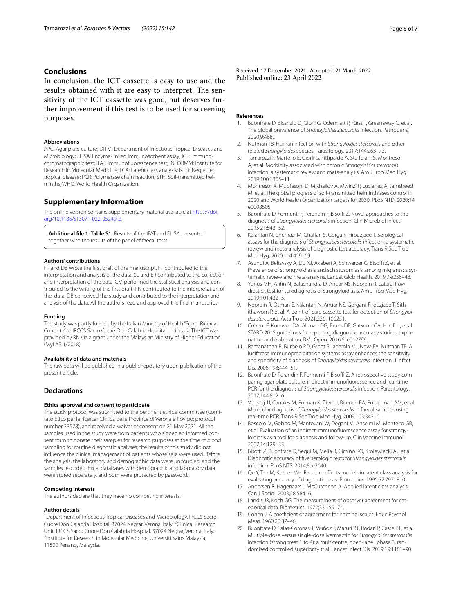# **Conclusions**

In conclusion, the ICT cassette is easy to use and the results obtained with it are easy to interpret. The sensitivity of the ICT cassette was good, but deserves further improvement if this test is to be used for screening purposes.

## **Abbreviations**

APC: Agar plate culture; DITM: Department of Infectious Tropical Diseases and Microbiology; ELISA: Enzyme-linked immunosorbent assay; ICT: Immunochromatographic test; IFAT: Immunofuorescence test; INFORMM: Institute for Research in Molecular Medicine; LCA: Latent class analysis; NTD: Neglected tropical disease; PCR: Polymerase chain reaction; STH: Soil-transmitted helminths; WHO: World Health Organization.

## **Supplementary Information**

The online version contains supplementary material available at [https://doi.](https://doi.org/10.1186/s13071-022-05249-z) [org/10.1186/s13071-022-05249-z.](https://doi.org/10.1186/s13071-022-05249-z)

<span id="page-5-19"></span>**Additional fle 1: Table S1.** Results of the IFAT and ELISA presented together with the results of the panel of faecal tests.

#### **Authors' contributions**

FT and DB wrote the frst draft of the manuscript. FT contributed to the interpretation and analysis of the data. SL and ER contributed to the collection and interpretation of the data. CM performed the statistical analysis and contributed to the writing of the frst draft. RN contributed to the interpretation of the data. DB conceived the study and contributed to the interpretation and analysis of the data. All the authors read and approved the fnal manuscript.

#### **Funding**

The study was partly funded by the Italian Ministry of Health "Fondi Ricerca Corrente" to IRCCS Sacro Cuore Don Calabria Hospital—Linea 2. The ICT was provided by RN via a grant under the Malaysian Ministry of Higher Education (MyLAB 1/2018).

#### **Availability of data and materials**

The raw data will be published in a public repository upon publication of the present article.

### **Declarations**

#### **Ethics approval and consent to participate**

The study protocol was submitted to the pertinent ethical committee (Comitato Etico per la ricercar Clinica delle Province di Verona e Rovigo; protocol number 33578), and received a waiver of consent on 21 May 2021. All the samples used in the study were from patients who signed an informed consent form to donate their samples for research purposes at the time of blood sampling for routine diagnostic analyses; the results of this study did not infuence the clinical management of patients whose sera were used. Before the analysis, the laboratory and demographic data were uncoupled, and the samples re-coded. Excel databases with demographic and laboratory data were stored separately, and both were protected by password.

#### **Competing interests**

The authors declare that they have no competing interests.

#### **Author details**

<sup>1</sup> Department of Infectious Tropical Diseases and Microbiology, IRCCS Sacro Cuore Don Calabria Hospital, 37024 Negrar, Verona, Italy. <sup>2</sup>Clinical Research Unit, IRCCS Sacro Cuore Don Calabria Hospital, 37024 Negrar, Verona, Italy. 3 <sup>3</sup>Institute for Research in Molecular Medicine, Universiti Sains Malaysia, 11800 Penang, Malaysia.

Received: 17 December 2021 Accepted: 21 March 2022

#### **References**

- <span id="page-5-0"></span>1. Buonfrate D, Bisanzio D, Giorli G, Odermatt P, Fürst T, Greenaway C, et al. The global prevalence of *Strongyloides stercoralis* infection. Pathogens. 2020;9:468.
- <span id="page-5-1"></span>2. Nutman TB. Human infection with *Strongyloides stercoralis* and other related *Strongyloides* species. Parasitology. 2017;144:263–73.
- <span id="page-5-2"></span>3. Tamarozzi F, Martello E, Giorli G, Fittipaldo A, Stafolani S, Montresor A, et al. Morbidity associated with chronic *Strongyloides stercoralis* infection: a systematic review and meta-analysis. Am J Trop Med Hyg. 2019;100:1305–11.
- <span id="page-5-3"></span>4. Montresor A, Mupfasoni D, Mikhailov A, Mwinzi P, Lucianez A, Jamsheed M, et al. The global progress of soil-transmitted helminthiases control in 2020 and World Health Organization targets for 2030. PLoS NTD. 2020;14: e0008505.
- <span id="page-5-4"></span>5. Buonfrate D, Formenti F, Perandin F, Bisoffi Z. Novel approaches to the diagnosis of *Strongyloides stercoralis* infection. Clin Microbiol Infect. 2015;21:543–52.
- <span id="page-5-5"></span>6. Kalantari N, Chehrazi M, Ghafari S, Gorgani-Firouzjaee T. Serological assays for the diagnosis of *Strongyloides stercoralis* infection: a systematic review and meta-analysis of diagnostic test accuracy. Trans R Soc Trop Med Hyg. 2020;114:459–69.
- <span id="page-5-6"></span>7. Asundi A, Beliavsky A, Liu XJ, Akaberi A, Schwarzer G, Bisoffi Z, et al. Prevalence of strongyloidiasis and schistosomiasis among migrants: a systematic review and meta-analysis. Lancet Glob Health. 2019;7:e236–48.
- <span id="page-5-7"></span>8. Yunus MH, Arifin N, Balachandra D, Anuar NS, Noordin R. Lateral flow dipstick test for serodiagnosis of strongyloidiasis. Am J Trop Med Hyg. 2019;101:432–5.
- <span id="page-5-8"></span>9. Noordin R, Osman E, Kalantari N, Anuar NS, Gorgani-Firouzjaee T, Sithithaworn P, et al. A point-of-care cassette test for detection of *Strongyloides stercoralis*. Acta Trop. 2021;226: 106251.
- <span id="page-5-9"></span>10. Cohen JF, Korevaar DA, Altman DG, Bruns DE, Gatsonis CA, Hooft L, et al. STARD 2015 guidelines for reporting diagnostic accuracy studies: explanation and elaboration. BMJ Open. 2016;6: e012799.
- <span id="page-5-10"></span>11. Ramanathan R, Burbelo PD, Groot S, Iadarola MJ, Neva FA, Nutman TB. A luciferase immunoprecipitation systems assay enhances the sensitivity and specifcity of diagnosis of *Strongyloides stercoralis* infection. J Infect Dis. 2008;198:444–51.
- <span id="page-5-11"></span>12. Buonfrate D, Perandin F, Formenti F, Bisoffi Z. A retrospective study comparing agar plate culture, indirect immunofuorescence and real-time PCR for the diagnosis of *Strongyloides stercoralis* infection. Parasitology. 2017;144:812–6.
- <span id="page-5-12"></span>13. Verweij JJ, Canales M, Polman K, Ziem J, Brienen EA, Polderman AM, et al. Molecular diagnosis of *Strongyloides stercoralis* in faecal samples using real-time PCR. Trans R Soc Trop Med Hyg. 2009;103:342–6.
- <span id="page-5-13"></span>14. Boscolo M, Gobbo M, Mantovani W, Degani M, Anselmi M, Monteiro GB, et al. Evaluation of an indirect immunofuorescence assay for strongyloidiasis as a tool for diagnosis and follow-up. Clin Vaccine Immunol. 2007;14:129–33.
- <span id="page-5-14"></span>15. Bisoffi Z, Buonfrate D, Sequi M, Mejia R, Cimino RO, Krolewiecki AJ, et al. Diagnostic accuracy of fve serologic tests for *Strongyloides stercoralis* infection. PLoS NTS. 2014;8: e2640.
- <span id="page-5-15"></span>16. Qu Y, Tan M, Kutner MH. Random efects models in latent class analysis for evaluating accuracy of diagnostic tests. Biometrics. 1996;52:797–810.
- <span id="page-5-16"></span>17. Andersen R, Hagenaars J, McCutcheon A. Applied latent class analysis. Can J Sociol. 2003;28:584–6.
- <span id="page-5-17"></span>18. Landis JR, Koch GG. The measurement of observer agreement for categorical data. Biometrics. 1977;33:159–74.
- <span id="page-5-18"></span>19. Cohen J. A coefficient of agreement for nominal scales. Educ Psychol Meas. 1960;20:37–46.
- <span id="page-5-20"></span>20. Buonfrate D, Salas-Coronas J, Muñoz J, Maruri BT, Rodari P, Castelli F, et al. Multiple-dose versus single-dose ivermectin for *Strongyloides stercoralis* infection (strong treat 1 to 4): a multicentre, open-label, phase 3, randomised controlled superiority trial. Lancet Infect Dis. 2019;19:1181–90.